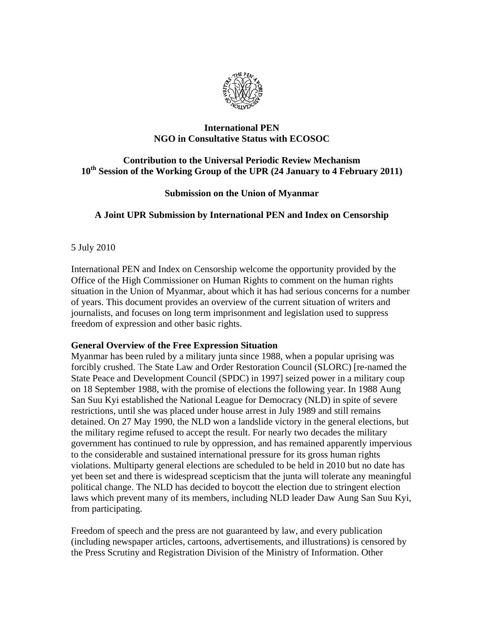

## **International PEN NGO in Consultative Status with ECOSOC**

# **Contribution to the Universal Periodic Review Mechanism 10th Session of the Working Group of the UPR (24 January to 4 February 2011)**

## **Submission on the Union of Myanmar**

## **A Joint UPR Submission by International PEN and Index on Censorship**

5 July 2010

International PEN and Index on Censorship welcome the opportunity provided by the Office of the High Commissioner on Human Rights to comment on the human rights situation in the Union of Myanmar, about which it has had serious concerns for a number of years. This document provides an overview of the current situation of writers and journalists, and focuses on long term imprisonment and legislation used to suppress freedom of expression and other basic rights.

### **General Overview of the Free Expression Situation**

Myanmar has been ruled by a military junta since 1988, when a popular uprising was forcibly crushed. The State Law and Order Restoration Council (SLORC) [re-named the State Peace and Development Council (SPDC) in 1997] seized power in a military coup on 18 September 1988, with the promise of elections the following year. In 1988 Aung San Suu Kyi established the National League for Democracy (NLD) in spite of severe restrictions, until she was placed under house arrest in July 1989 and still remains detained. On 27 May 1990, the NLD won a landslide victory in the general elections, but the military regime refused to accept the result. For nearly two decades the military government has continued to rule by oppression, and has remained apparently impervious to the considerable and sustained international pressure for its gross human rights violations. Multiparty general elections are scheduled to be held in 2010 but no date has yet been set and there is widespread scepticism that the junta will tolerate any meaningful political change. The NLD has decided to boycott the election due to stringent election laws which prevent many of its members, including NLD leader Daw Aung San Suu Kyi, from participating.

Freedom of speech and the press are not guaranteed by law, and every publication (including newspaper articles, cartoons, advertisements, and illustrations) is censored by the Press Scrutiny and Registration Division of the Ministry of Information. Other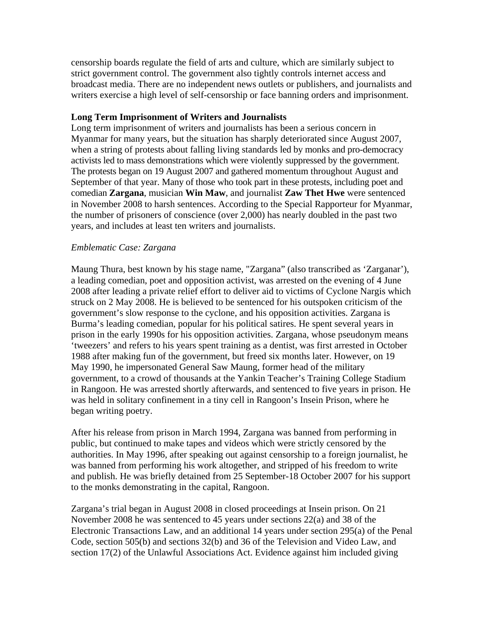censorship boards regulate the field of arts and culture, which are similarly subject to strict government control. The government also tightly controls internet access and broadcast media. There are no independent news outlets or publishers, and journalists and writers exercise a high level of self-censorship or face banning orders and imprisonment.

#### **Long Term Imprisonment of Writers and Journalists**

Long term imprisonment of writers and journalists has been a serious concern in Myanmar for many years, but the situation has sharply deteriorated since August 2007, when a string of protests about falling living standards led by monks and pro-democracy activists led to mass demonstrations which were violently suppressed by the government. The protests began on 19 August 2007 and gathered momentum throughout August and September of that year. Many of those who took part in these protests, including poet and comedian **Zargana**, musician **Win Maw**, and journalist **Zaw Thet Hwe** were sentenced in November 2008 to harsh sentences. According to the Special Rapporteur for Myanmar, the number of prisoners of conscience (over 2,000) has nearly doubled in the past two years, and includes at least ten writers and journalists.

### *Emblematic Case: Zargana*

Maung Thura, best known by his stage name, "Zargana" (also transcribed as 'Zarganar'), a leading comedian, poet and opposition activist, was arrested on the evening of 4 June 2008 after leading a private relief effort to deliver aid to victims of Cyclone Nargis which struck on 2 May 2008. He is believed to be sentenced for his outspoken criticism of the government's slow response to the cyclone, and his opposition activities. Zargana is Burma's leading comedian, popular for his political satires. He spent several years in prison in the early 1990s for his opposition activities. Zargana, whose pseudonym means 'tweezers' and refers to his years spent training as a dentist, was first arrested in October 1988 after making fun of the government, but freed six months later. However, on 19 May 1990, he impersonated General Saw Maung, former head of the military government, to a crowd of thousands at the Yankin Teacher's Training College Stadium in Rangoon. He was arrested shortly afterwards, and sentenced to five years in prison. He was held in solitary confinement in a tiny cell in Rangoon's Insein Prison, where he began writing poetry.

After his release from prison in March 1994, Zargana was banned from performing in public, but continued to make tapes and videos which were strictly censored by the authorities. In May 1996, after speaking out against censorship to a foreign journalist, he was banned from performing his work altogether, and stripped of his freedom to write and publish. He was briefly detained from 25 September-18 October 2007 for his support to the monks demonstrating in the capital, Rangoon.

Zargana's trial began in August 2008 in closed proceedings at Insein prison. On 21 November 2008 he was sentenced to 45 years under sections 22(a) and 38 of the Electronic Transactions Law, and an additional 14 years under section 295(a) of the Penal Code, section 505(b) and sections 32(b) and 36 of the Television and Video Law, and section 17(2) of the Unlawful Associations Act. Evidence against him included giving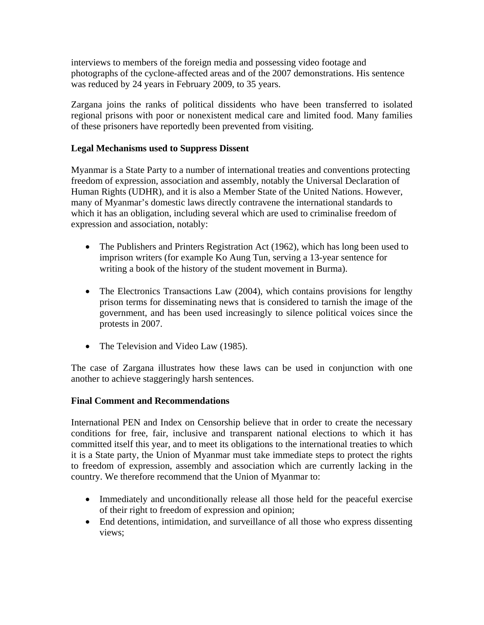interviews to members of the foreign media and possessing video footage and photographs of the cyclone-affected areas and of the 2007 demonstrations. His sentence was reduced by 24 years in February 2009, to 35 years.

Zargana joins the ranks of political dissidents who have been transferred to isolated regional prisons with poor or nonexistent medical care and limited food. Many families of these prisoners have reportedly been prevented from visiting.

### **Legal Mechanisms used to Suppress Dissent**

Myanmar is a State Party to a number of international treaties and conventions protecting freedom of expression, association and assembly, notably the Universal Declaration of Human Rights (UDHR), and it is also a Member State of the United Nations. However, many of Myanmar's domestic laws directly contravene the international standards to which it has an obligation, including several which are used to criminalise freedom of expression and association, notably:

- The Publishers and Printers Registration Act (1962), which has long been used to imprison writers (for example Ko Aung Tun, serving a 13-year sentence for writing a book of the history of the student movement in Burma).
- The Electronics Transactions Law (2004), which contains provisions for lengthy prison terms for disseminating news that is considered to tarnish the image of the government, and has been used increasingly to silence political voices since the protests in 2007.
- The Television and Video Law (1985).

The case of Zargana illustrates how these laws can be used in conjunction with one another to achieve staggeringly harsh sentences.

### **Final Comment and Recommendations**

International PEN and Index on Censorship believe that in order to create the necessary conditions for free, fair, inclusive and transparent national elections to which it has committed itself this year, and to meet its obligations to the international treaties to which it is a State party, the Union of Myanmar must take immediate steps to protect the rights to freedom of expression, assembly and association which are currently lacking in the country. We therefore recommend that the Union of Myanmar to:

- Immediately and unconditionally release all those held for the peaceful exercise of their right to freedom of expression and opinion;
- End detentions, intimidation, and surveillance of all those who express dissenting views;